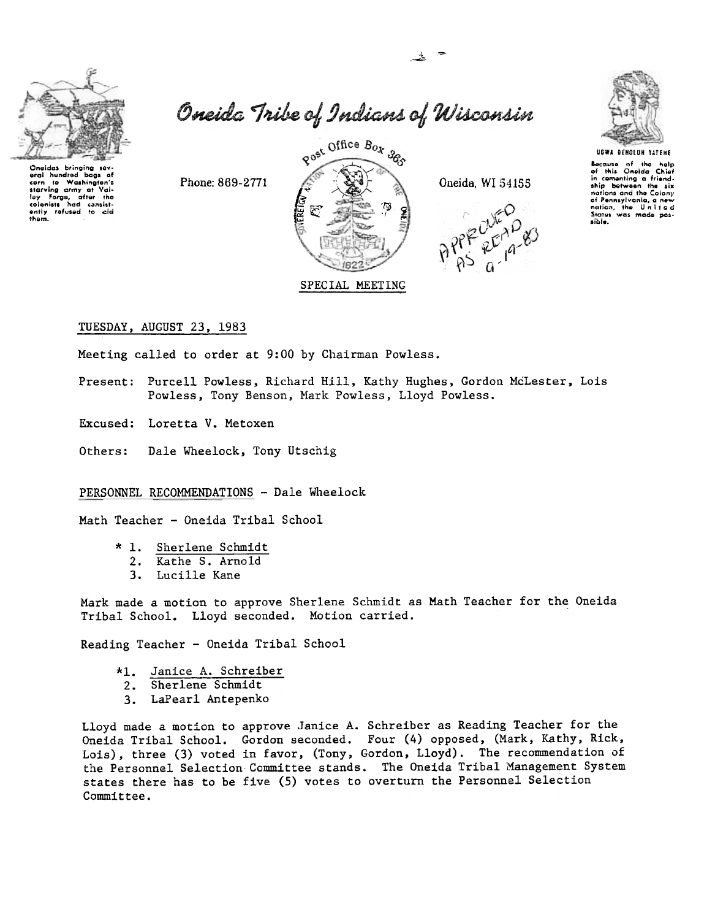

~ .~







Because of the help<br>of this Oneida Chief<br>in comenting a friend<br>notion and the Colony<br>of Pennsylvania, a new<br>notion, the Un;it a colony<br>notion, the Un;it a colony<br>Status was made pos-<br>sible.

TUESDAY, AUGUST 23,1983

Meeting called to order at 9:00 by Chairman Powless.

- Present: Purcell Powless, Richard Hill, Kathy Hughes, Gordon McLester, Lois Powless, Tony Benson, Mark Powless, Lloyd Powless.
- Excused: Loretta V. Metoxen
- Others: Dale Wheelock, Tony Utschig

PERSONNEL RECOMMENDATIONS - Dale Wheelock

Math Teacher - Oneida Tribal School

- \* 1. Sherlene Schmid
	- 2. Kathe S. Arnol
	- 3. Lucille Kane

Mark made a motion to approve Sherlene Schmidt as Math Teacher for the Oneida Tribal School. Lloyd seconded. Motion carried.

Reading Teacher - Oneida Tribal School

- Janice A. Schreiber
- 2. Sherlene Schmid
- 3. LaPearl Antepenk

Lloyd made a motion to approve Janice A. Schreiber as Reading Teacher for the Oneida Tribal School. Gordon seconded. Four (4) opposed, (Mark, Kathy, Rick, Lois), three (3) voted in favor, (Tony, Gordon, Lloyd). The recommendation of the Personnel Selection Committee stands. The Oneida Tribal Management System states there has to be five (5) votes to overturn the Personnel Selection Committee.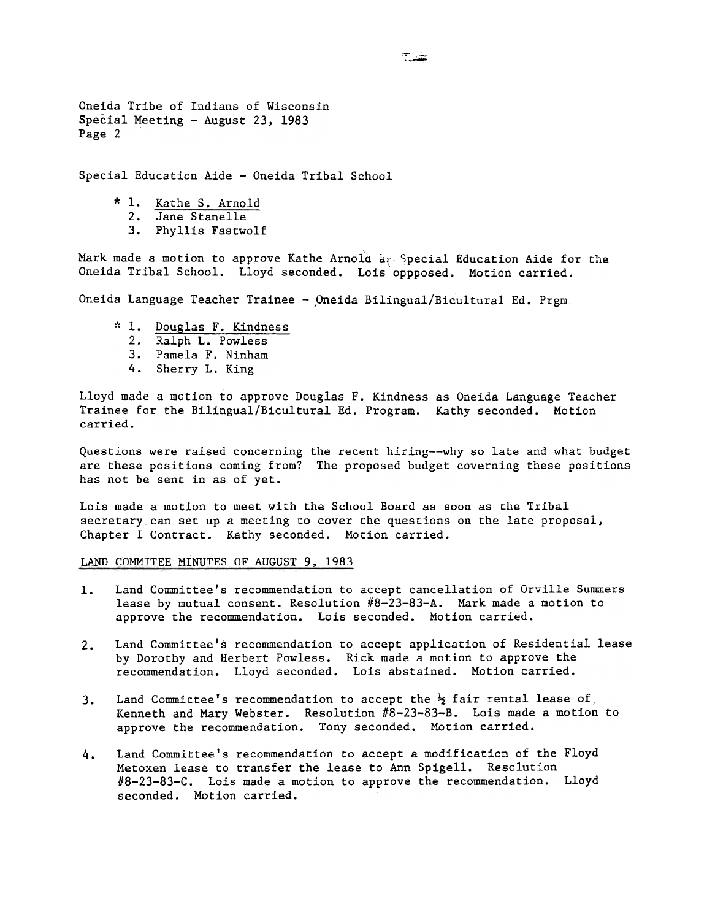Oneida Tribe of Indians of Wisconsin Special Meeting - August 23, 1983 Page 2

Special Education Aide - Oneida Tribal School

- \* 1. Kathe S. Arnol
	- 2. Jane Stanel
	- 3. Phyllis Fastwo

Mark made a motion to approve Kathe Arnola ave Special Education Aide for the Oneida Tribal School. Lloyd seconded. Lois oppposed. Motion carried.

Oneida Language Teacher Trainee - Oneida Bilingual/Bicultural Ed. Prgm

- \* 1. Douglas F. Kindnes
	- 2. Ralph L. Powles
	- 3. Pamela F. Ninham
	- 4. Sherry L. King

Lloyd made a motion to approve Douglas F. Kindness as Oneida Language Teacher Trainee for the Bilingual/Bicultural Ed. Program. Kathy seconded. Motion carried.

Questions were raised concerning the recent hiring--why so late and what budget are these positions coming from? The proposed budget coverning these positions has not be sent in as of yet.

Lois made a motion to meet with the School Board as soon as the Tribal secretary can set up a meeting to cover the questions on the late proposal, Chapter I Contract. Kathy seconded. Motion carried.

LAND COMMITEE MINUTES OF AUGUST 9, 1983

- Land Committee's recommendation to accept cancellation of Orville Summers  $1.$ lease by mutual consent. Resolution  $#8-23-83-A$ . Mark made a motion to approve the recommendation. Lois seconded. Motion carried.
- Land Committee's recommendation to accept application of Residential lease  $2.1$ by Dorothy and Herbert Powless. Rick made a motion to approve the recommendation. Lloyd seconded. Lois abstained. Motion carried.
- Land Committee's recommendation to accept the  $\frac{1}{2}$  fair rental lease of  $3<sub>1</sub>$ Kenneth and Mary Webster. Resolution #8-23-83-B. Lois made a motion to approve the recommendation. Tony seconded. Motion carried.
- Land Committee's recommendation to accept a modification of the Floyd Metoxen lease to transfer the lease to Ann Spigell. Resolution  $#8-23-83-C.$  Lois made a motion to approve the recommendation. Lloyd seconded. Motion carried. 4.